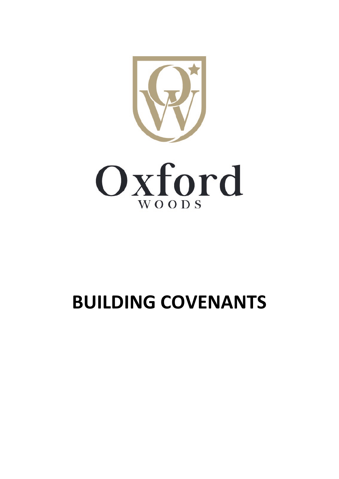

# **BUILDING COVENANTS**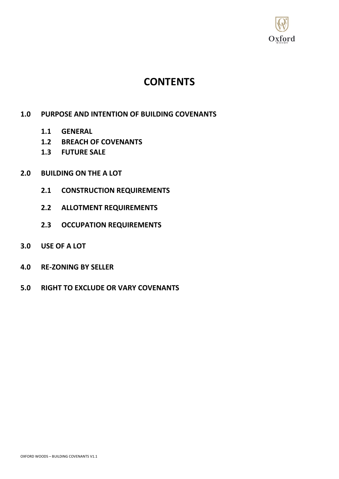

## **CONTENTS**

### **1.0 PURPOSE AND INTENTION OF BUILDING COVENANTS**

- **1.1 GENERAL**
- **1.2 BREACH OF COVENANTS**
- **1.3 FUTURE SALE**
- **2.0 BUILDING ON THE A LOT**
	- **2.1 CONSTRUCTION REQUIREMENTS**
	- **2.2 ALLOTMENT REQUIREMENTS**
	- **2.3 OCCUPATION REQUIREMENTS**
- **3.0 USE OF A LOT**
- **4.0 RE-ZONING BY SELLER**
- **5.0 RIGHT TO EXCLUDE OR VARY COVENANTS**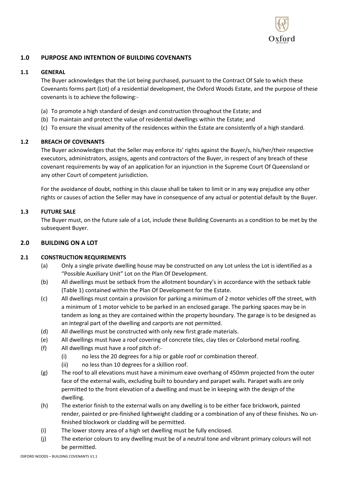

#### **1.0 PURPOSE AND INTENTION OF BUILDING COVENANTS**

#### **1.1 GENERAL**

The Buyer acknowledges that the Lot being purchased, pursuant to the Contract Of Sale to which these Covenants forms part (Lot) of a residential development, the Oxford Woods Estate, and the purpose of these covenants is to achieve the following:-

- (a) To promote a high standard of design and construction throughout the Estate; and
- (b) To maintain and protect the value of residential dwellings within the Estate; and
- (c) To ensure the visual amenity of the residences within the Estate are consistently of a high standard.

#### **1.2 BREACH OF COVENANTS**

The Buyer acknowledges that the Seller may enforce its' rights against the Buyer/s, his/her/their respective executors, administrators, assigns, agents and contractors of the Buyer, in respect of any breach of these covenant requirements by way of an application for an injunction in the Supreme Court Of Queensland or any other Court of competent jurisdiction.

For the avoidance of doubt, nothing in this clause shall be taken to limit or in any way prejudice any other rights or causes of action the Seller may have in consequence of any actual or potential default by the Buyer.

#### **1.3 FUTURE SALE**

The Buyer must, on the future sale of a Lot, include these Building Covenants as a condition to be met by the subsequent Buyer.

#### **2.0 BUILDING ON A LOT**

#### **2.1 CONSTRUCTION REQUIREMENTS**

- (a) Only a single private dwelling house may be constructed on any Lot unless the Lot is identified as a "Possible Auxiliary Unit" Lot on the Plan Of Development.
- (b) All dwellings must be setback from the allotment boundary's in accordance with the setback table (Table 1) contained within the Plan Of Development for the Estate.
- (c) All dwellings must contain a provision for parking a minimum of 2 motor vehicles off the street, with a minimum of 1 motor vehicle to be parked in an enclosed garage. The parking spaces may be in tandem as long as they are contained within the property boundary. The garage is to be designed as an integral part of the dwelling and carports are not permitted.
- (d) All dwellings must be constructed with only new first grade materials.
- (e) All dwellings must have a roof covering of concrete tiles, clay tiles or Colorbond metal roofing.
- (f) All dwellings must have a roof pitch of:-
	- (i) no less the 20 degrees for a hip or gable roof or combination thereof.
	- (ii) no less than 10 degrees for a skillion roof.
- (g) The roof to all elevations must have a minimum eave overhang of 450mm projected from the outer face of the external walls, excluding built to boundary and parapet walls. Parapet walls are only permitted to the front elevation of a dwelling and must be in keeping with the design of the dwelling.
- (h) The exterior finish to the external walls on any dwelling is to be either face brickwork, painted render, painted or pre-finished lightweight cladding or a combination of any of these finishes. No unfinished blockwork or cladding will be permitted.
- (i) The lower storey area of a high set dwelling must be fully enclosed.
- (j) The exterior colours to any dwelling must be of a neutral tone and vibrant primary colours will not be permitted.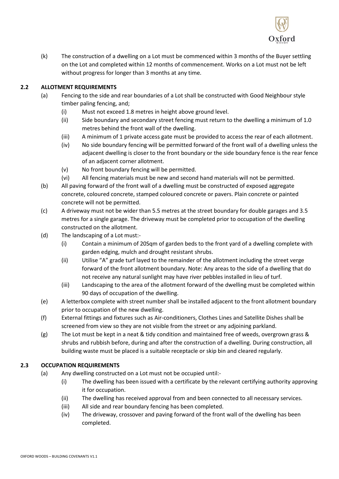

(k) The construction of a dwelling on a Lot must be commenced within 3 months of the Buyer settling on the Lot and completed within 12 months of commencement. Works on a Lot must not be left without progress for longer than 3 months at any time.

#### **2.2 ALLOTMENT REQUIREMENTS**

- (a) Fencing to the side and rear boundaries of a Lot shall be constructed with Good Neighbour style timber paling fencing, and;
	- (i) Must not exceed 1.8 metres in height above ground level.
	- (ii) Side boundary and secondary street fencing must return to the dwelling a minimum of 1.0 metres behind the front wall of the dwelling.
	- (iii) A minimum of 1 private access gate must be provided to access the rear of each allotment.
	- (iv) No side boundary fencing will be permitted forward of the front wall of a dwelling unless the adjacent dwelling is closer to the front boundary or the side boundary fence is the rear fence of an adjacent corner allotment.
	- (v) No front boundary fencing will be permitted.
	- (vi) All fencing materials must be new and second hand materials will not be permitted.
- (b) All paving forward of the front wall of a dwelling must be constructed of exposed aggregate concrete, coloured concrete, stamped coloured concrete or pavers. Plain concrete or painted concrete will not be permitted.
- (c) A driveway must not be wider than 5.5 metres at the street boundary for double garages and 3.5 metres for a single garage. The driveway must be completed prior to occupation of the dwelling constructed on the allotment.
- (d) The landscaping of a Lot must:-
	- (i) Contain a minimum of 20Sqm of garden beds to the front yard of a dwelling complete with garden edging, mulch and drought resistant shrubs.
	- (ii) Utilise "A" grade turf layed to the remainder of the allotment including the street verge forward of the front allotment boundary. Note: Any areas to the side of a dwelling that do not receive any natural sunlight may have river pebbles installed in lieu of turf.
	- (iii) Landscaping to the area of the allotment forward of the dwelling must be completed within 90 days of occupation of the dwelling.
- (e) A letterbox complete with street number shall be installed adjacent to the front allotment boundary prior to occupation of the new dwelling.
- (f) External fittings and fixtures such as Air-conditioners, Clothes Lines and Satellite Dishes shall be screened from view so they are not visible from the street or any adjoining parkland.
- (g) The Lot must be kept in a neat & tidy condition and maintained free of weeds, overgrown grass  $\&$ shrubs and rubbish before, during and after the construction of a dwelling. During construction, all building waste must be placed is a suitable receptacle or skip bin and cleared regularly.

#### **2.3 OCCUPATION REQUIREMENTS**

- (a) Any dwelling constructed on a Lot must not be occupied until:-
	- (i) The dwelling has been issued with a certificate by the relevant certifying authority approving it for occupation.
	- (ii) The dwelling has received approval from and been connected to all necessary services.
	- (iii) All side and rear boundary fencing has been completed.
	- (iv) The driveway, crossover and paving forward of the front wall of the dwelling has been completed.